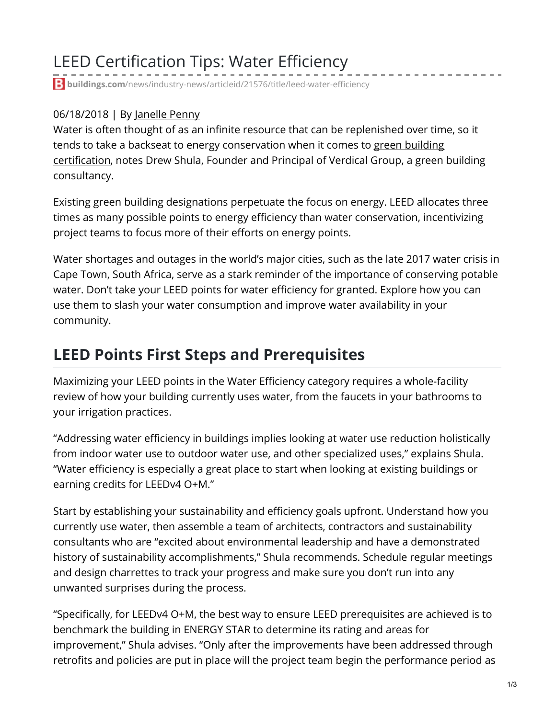## LEED Certification Tips: Water Efficiency

**buildings.com**[/news/industry-news/articleid/21576/title/leed-water-efficiency](https://www.buildings.com/news/industry-news/articleid/21576/title/leed-water-efficiency)

#### 06/18/2018 | By [Janelle](https://www.buildings.com/authors/authorid/5) Penny

Water is often thought of as an infinite resource that can be replenished over time, so it tends to take a backseat to energy [conservation](https://www.buildings.com/news/industry-news/articleid/21664/title/green-building-business-green-standards) when it comes to green building certification, notes Drew Shula, Founder and Principal of Verdical Group, a green building consultancy.

Existing green building designations perpetuate the focus on energy. LEED allocates three times as many possible points to energy efficiency than water conservation, incentivizing project teams to focus more of their efforts on energy points.

Water shortages and outages in the world's major cities, such as the late 2017 water crisis in Cape Town, South Africa, serve as a stark reminder of the importance of conserving potable water. Don't take your LEED points for water efficiency for granted. Explore how you can use them to slash your water consumption and improve water availability in your community.

#### **LEED Points First Steps and Prerequisites**

Maximizing your LEED points in the Water Efficiency category requires a whole-facility review of how your building currently uses water, from the faucets in your bathrooms to your irrigation practices.

"Addressing water efficiency in buildings implies looking at water use reduction holistically from indoor water use to outdoor water use, and other specialized uses," explains Shula. "Water efficiency is especially a great place to start when looking at existing buildings or earning credits for LEEDv4 O+M."

Start by establishing your sustainability and efficiency goals upfront. Understand how you currently use water, then assemble a team of architects, contractors and sustainability consultants who are "excited about environmental leadership and have a demonstrated history of sustainability accomplishments," Shula recommends. Schedule regular meetings and design charrettes to track your progress and make sure you don't run into any unwanted surprises during the process.

"Specifically, for LEEDv4 O+M, the best way to ensure LEED prerequisites are achieved is to benchmark the building in ENERGY STAR to determine its rating and areas for improvement," Shula advises. "Only after the improvements have been addressed through retrofits and policies are put in place will the project team begin the performance period as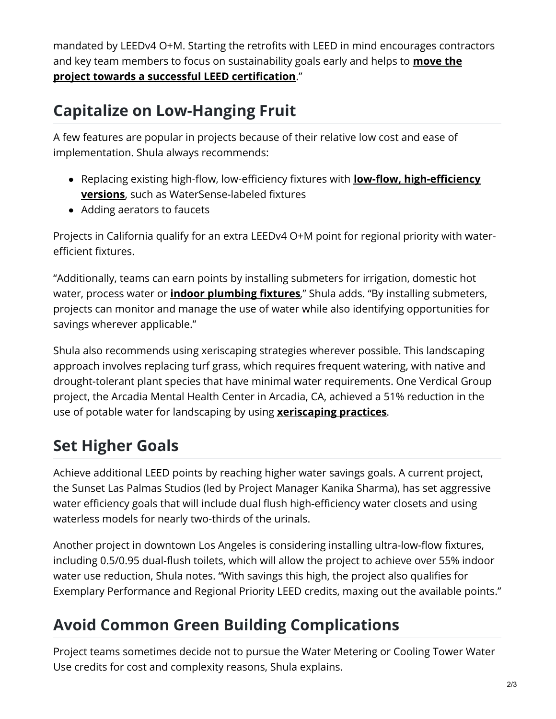mandated by LEEDv4 O+M. Starting the retrofits with LEED in mind encourages contractors and key team members to focus on [sustainability](https://www.buildings.com/news/industry-news/articleid/21563/title/well-building-standard-changes) goals early and helps to **move the project towards a successful LEED certification**."

### **Capitalize on Low-Hanging Fruit**

A few features are popular in projects because of their relative low cost and ease of implementation. Shula always recommends:

- Replacing existing high-flow, low-efficiency fixtures with **low-flow, high-efficiency versions**, such as [WaterSense-labeled](https://www.buildings.com/product-category/categoryid/52/category/plumbingwashrooms/subcategoryid/53/subcategory/fixtures-and-hardware/productid/4429/product/retrofit-flushometers) fixtures
- Adding aerators to faucets

Projects in California qualify for an extra LEEDv4 O+M point for regional priority with waterefficient fixtures.

"Additionally, teams can earn points by installing submeters for irrigation, domestic hot water, process water or **indoor [plumbing](https://www.buildings.com/product-category/categoryid/52/category/plumbingwashrooms/subcategoryid/53/subcategory/fixtures-and-hardware/productid/3673/product/decorum-pint-urinal) fixtures**," Shula adds. "By installing submeters, projects can monitor and manage the use of water while also identifying opportunities for savings wherever applicable."

Shula also recommends using xeriscaping strategies wherever possible. This landscaping approach involves replacing turf grass, which requires frequent watering, with native and drought-tolerant plant species that have minimal water requirements. One Verdical Group project, the Arcadia Mental Health Center in Arcadia, CA, achieved a 51% reduction in the use of potable water for landscaping by using **[xeriscaping](http://www.buildings.com/article-details/articleid/18730/title/the-principles-of-xeriscaping) practices**.

# **Set Higher Goals**

Achieve additional LEED points by reaching higher water savings goals. A current project, the Sunset Las Palmas Studios (led by Project Manager Kanika Sharma), has set aggressive water efficiency goals that will include dual flush high-efficiency water closets and using waterless models for nearly two-thirds of the urinals.

Another project in downtown Los Angeles is considering installing ultra-low-flow fixtures, including 0.5/0.95 dual-flush toilets, which will allow the project to achieve over 55% indoor water use reduction, Shula notes. "With savings this high, the project also qualifies for Exemplary Performance and Regional Priority LEED credits, maxing out the available points."

# **Avoid Common Green Building Complications**

Project teams sometimes decide not to pursue the Water Metering or Cooling Tower Water Use credits for cost and complexity reasons, Shula explains.